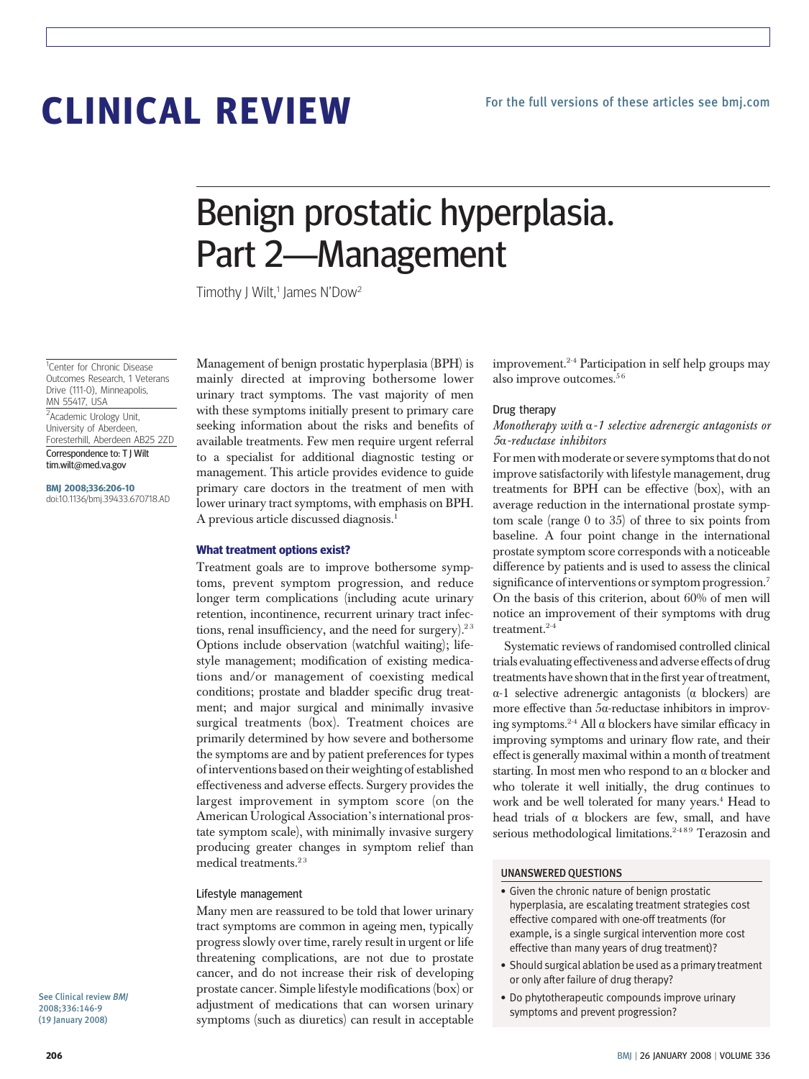# CLINICAL REVIEW

## Benign prostatic hyperplasia. Part 2—Management

Timothy J Wilt,<sup>1</sup> James N'Dow<sup>2</sup>

<sup>1</sup>Center for Chronic Disease Outcomes Research, 1 Veterans Drive (111-0), Minneapolis, MN 55417, USA

<sup>2</sup> Academic Urology Unit, University of Aberdeen, Foresterhill, Aberdeen AB25 2ZD Correspondence to: T J Wilt tim.wilt@med.va.gov

BMJ 2008;336:206-10 doi:10.1136/bmj.39433.670718.AD Management of benign prostatic hyperplasia (BPH) is mainly directed at improving bothersome lower urinary tract symptoms. The vast majority of men with these symptoms initially present to primary care seeking information about the risks and benefits of available treatments. Few men require urgent referral to a specialist for additional diagnostic testing or management. This article provides evidence to guide primary care doctors in the treatment of men with lower urinary tract symptoms, with emphasis on BPH. A previous article discussed diagnosis.<sup>1</sup>

#### What treatment options exist?

Treatment goals are to improve bothersome symptoms, prevent symptom progression, and reduce longer term complications (including acute urinary retention, incontinence, recurrent urinary tract infections, renal insufficiency, and the need for surgery). $2<sup>3</sup>$ Options include observation (watchful waiting); lifestyle management; modification of existing medications and/or management of coexisting medical conditions; prostate and bladder specific drug treatment; and major surgical and minimally invasive surgical treatments (box). Treatment choices are primarily determined by how severe and bothersome the symptoms are and by patient preferences for types of interventions based on their weighting of established effectiveness and adverse effects. Surgery provides the largest improvement in symptom score (on the American Urological Association's international prostate symptom scale), with minimally invasive surgery producing greater changes in symptom relief than medical treatments.<sup>23</sup>

#### Lifestyle management

Many men are reassured to be told that lower urinary tract symptoms are common in ageing men, typically progress slowly over time, rarely result in urgent or life threatening complications, are not due to prostate cancer, and do not increase their risk of developing prostate cancer. Simple lifestyle modifications (box) or adjustment of medications that can worsen urinary symptoms (such as diuretics) can result in acceptable improvement.2-4 Participation in self help groups may also improve outcomes.<sup>56</sup>

#### Drug therapy

#### Monotherapy with  $\alpha$ -1 selective adrenergic antagonists or 5α-reductase inhibitors

For men with moderate or severe symptoms that do not improve satisfactorily with lifestyle management, drug treatments for BPH can be effective (box), with an average reduction in the international prostate symptom scale (range 0 to 35) of three to six points from baseline. A four point change in the international prostate symptom score corresponds with a noticeable difference by patients and is used to assess the clinical significance of interventions or symptom progression.<sup>7</sup> On the basis of this criterion, about 60% of men will notice an improvement of their symptoms with drug treatment.<sup>2-4</sup>

Systematic reviews of randomised controlled clinical trials evaluating effectiveness and adverse effects of drug treatments have shown that in the first year of treatment, α-1 selective adrenergic antagonists (α blockers) are more effective than 5α-reductase inhibitors in improving symptoms.<sup>2-4</sup> All  $\alpha$  blockers have similar efficacy in improving symptoms and urinary flow rate, and their effect is generally maximal within a month of treatment starting. In most men who respond to an  $\alpha$  blocker and who tolerate it well initially, the drug continues to work and be well tolerated for many years.<sup>4</sup> Head to head trials of  $\alpha$  blockers are few, small, and have serious methodological limitations.<sup>2-489</sup> Terazosin and

#### UNANSWERED QUESTIONS

- Given the chronic nature of benign prostatic hyperplasia, are escalating treatment strategies cost effective compared with one-off treatments (for example, is a single surgical intervention more cost effective than many years of drug treatment)?
- Should surgical ablation be used as a primary treatment or only after failure of drug therapy?
- Do phytotherapeutic compounds improve urinary symptoms and prevent progression?

See Clinical review BMJ 2008;336:146-9 (19 January 2008)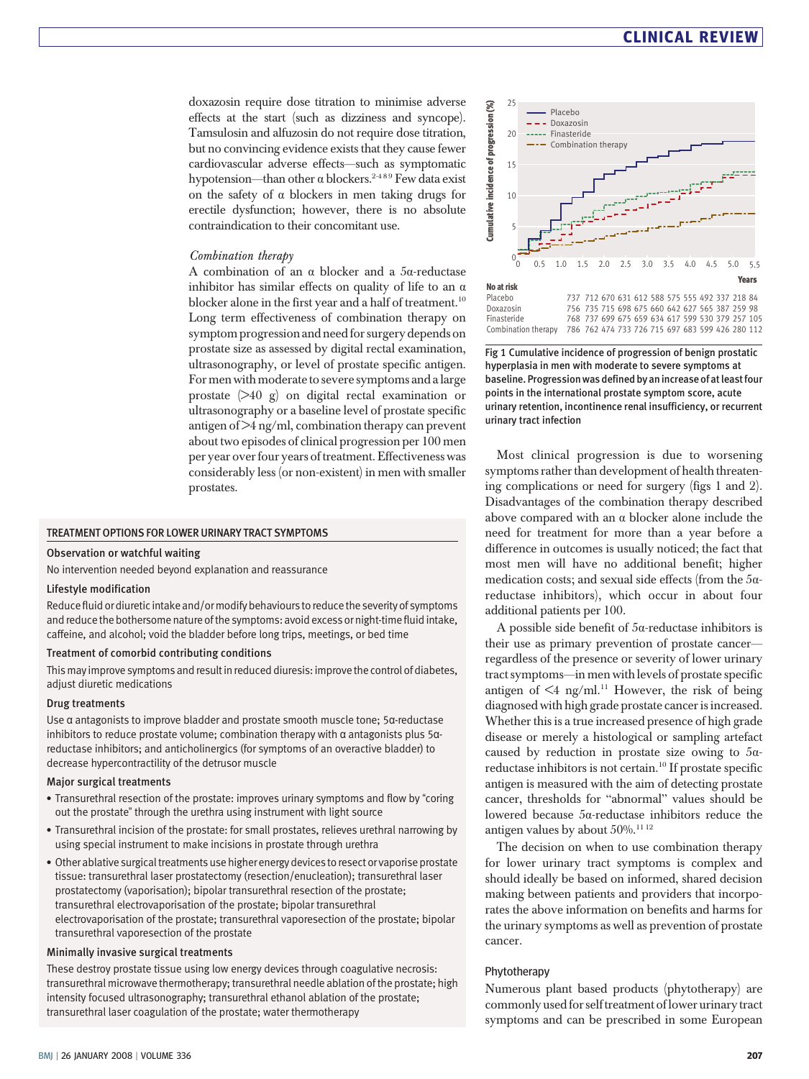doxazosin require dose titration to minimise adverse effects at the start (such as dizziness and syncope). Tamsulosin and alfuzosin do not require dose titration, but no convincing evidence exists that they cause fewer cardiovascular adverse effects—such as symptomatic hypotension—than other  $\alpha$  blockers.<sup>2-489</sup> Few data exist on the safety of α blockers in men taking drugs for erectile dysfunction; however, there is no absolute contraindication to their concomitant use.

#### Combination therapy

A combination of an α blocker and a 5α-reductase inhibitor has similar effects on quality of life to an  $\alpha$ blocker alone in the first year and a half of treatment.<sup>10</sup> Long term effectiveness of combination therapy on symptom progression and needfor surgery depends on prostate size as assessed by digital rectal examination, ultrasonography, or level of prostate specific antigen. For men with moderate to severe symptoms and a large prostate (>40 g) on digital rectal examination or ultrasonography or a baseline level of prostate specific antigen of >4 ng/ml, combination therapy can prevent about two episodes of clinical progression per 100 men per year over four years of treatment. Effectiveness was considerably less (or non-existent) in men with smaller prostates.

#### TREATMENT OPTIONS FOR LOWER URINARY TRACT SYMPTOMS

#### Observation or watchful waiting

No intervention needed beyond explanation and reassurance

#### Lifestyle modification

Reduce fluid or diuretic intake and/or modify behaviours to reduce the severity of symptoms and reduce the bothersome nature of the symptoms: avoid excess or night-time fluid intake, caffeine, and alcohol; void the bladder before long trips, meetings, or bed time

#### Treatment of comorbid contributing conditions

This may improve symptoms and result in reduced diuresis: improve the control of diabetes, adjust diuretic medications

#### Drug treatments

Use α antagonists to improve bladder and prostate smooth muscle tone; 5α-reductase inhibitors to reduce prostate volume; combination therapy with α antagonists plus 5αreductase inhibitors; and anticholinergics (for symptoms of an overactive bladder) to decrease hypercontractility of the detrusor muscle

#### Major surgical treatments

- Transurethral resection of the prostate: improves urinary symptoms and flow by "coring out the prostate" through the urethra using instrument with light source
- Transurethral incision of the prostate: for small prostates, relieves urethral narrowing by using special instrument to make incisions in prostate through urethra
- Other ablative surgical treatments use higher energy devices to resect or vaporise prostate tissue: transurethral laser prostatectomy (resection/enucleation); transurethral laser prostatectomy (vaporisation); bipolar transurethral resection of the prostate; transurethral electrovaporisation of the prostate; bipolar transurethral electrovaporisation of the prostate; transurethral vaporesection of the prostate; bipolar transurethral vaporesection of the prostate

#### Minimally invasive surgical treatments

These destroy prostate tissue using low energy devices through coagulative necrosis: transurethral microwave thermotherapy; transurethral needle ablation of the prostate; high intensity focused ultrasonography; transurethral ethanol ablation of the prostate; transurethral laser coagulation of the prostate; water thermotherapy



Fig 1 Cumulative incidence of progression of benign prostatic hyperplasia in men with moderate to severe symptoms at baseline. Progression was defined by an increase of at least four points in the international prostate symptom score, acute urinary retention, incontinence renal insufficiency, or recurrent urinary tract infection

Most clinical progression is due to worsening symptoms rather than development of health threatening complications or need for surgery (figs 1 and 2). Disadvantages of the combination therapy described above compared with an α blocker alone include the need for treatment for more than a year before a difference in outcomes is usually noticed; the fact that most men will have no additional benefit; higher medication costs; and sexual side effects (from the 5αreductase inhibitors), which occur in about four additional patients per 100.

A possible side benefit of 5α-reductase inhibitors is their use as primary prevention of prostate cancer regardless of the presence or severity of lower urinary tract symptoms—in men with levels of prostate specific antigen of  $\leq 4$  ng/ml.<sup>11</sup> However, the risk of being diagnosed with high grade prostate cancer is increased. Whether this is a true increased presence of high grade disease or merely a histological or sampling artefact caused by reduction in prostate size owing to 5αreductase inhibitors is not certain.10 If prostate specific antigen is measured with the aim of detecting prostate cancer, thresholds for "abnormal" values should be lowered because 5α-reductase inhibitors reduce the antigen values by about  $50\%$ .<sup>1112</sup>

The decision on when to use combination therapy for lower urinary tract symptoms is complex and should ideally be based on informed, shared decision making between patients and providers that incorporates the above information on benefits and harms for the urinary symptoms as well as prevention of prostate cancer.

#### Phytotherapy

Numerous plant based products (phytotherapy) are commonly usedfor selftreatment of lower urinarytract symptoms and can be prescribed in some European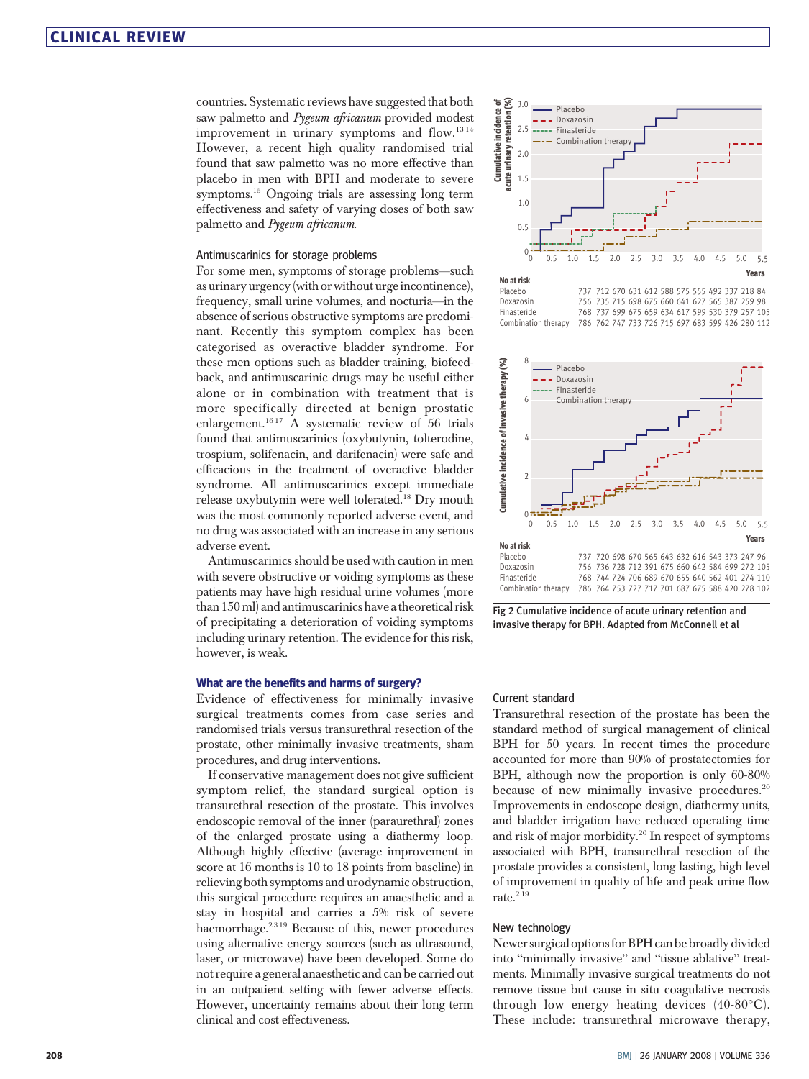countries. Systematic reviews have suggested that both saw palmetto and *Pygeum africanum* provided modest improvement in urinary symptoms and flow.13 14 However, a recent high quality randomised trial found that saw palmetto was no more effective than placebo in men with BPH and moderate to severe symptoms.<sup>15</sup> Ongoing trials are assessing long term effectiveness and safety of varying doses of both saw palmetto and Pygeum africanum.

#### Antimuscarinics for storage problems

For some men, symptoms of storage problems—such as urinary urgency (with or without urge incontinence), frequency, small urine volumes, and nocturia—in the absence of serious obstructive symptoms are predominant. Recently this symptom complex has been categorised as overactive bladder syndrome. For these men options such as bladder training, biofeedback, and antimuscarinic drugs may be useful either alone or in combination with treatment that is more specifically directed at benign prostatic enlargement.<sup>1617</sup> A systematic review of 56 trials found that antimuscarinics (oxybutynin, tolterodine, trospium, solifenacin, and darifenacin) were safe and efficacious in the treatment of overactive bladder syndrome. All antimuscarinics except immediate release oxybutynin were well tolerated.18 Dry mouth was the most commonly reported adverse event, and no drug was associated with an increase in any serious adverse event.

Antimuscarinics should be used with caution in men with severe obstructive or voiding symptoms as these patients may have high residual urine volumes (more than 150ml) and antimuscarinics have atheoretical risk of precipitating a deterioration of voiding symptoms including urinary retention. The evidence for this risk, however, is weak.

#### What are the benefits and harms of surgery?

Evidence of effectiveness for minimally invasive surgical treatments comes from case series and randomised trials versus transurethral resection of the prostate, other minimally invasive treatments, sham procedures, and drug interventions.

If conservative management does not give sufficient symptom relief, the standard surgical option is transurethral resection of the prostate. This involves endoscopic removal of the inner (paraurethral) zones of the enlarged prostate using a diathermy loop. Although highly effective (average improvement in score at 16 months is 10 to 18 points from baseline) in relieving both symptoms and urodynamic obstruction, this surgical procedure requires an anaesthetic and a stay in hospital and carries a 5% risk of severe haemorrhage.<sup>2319</sup> Because of this, newer procedures using alternative energy sources (such as ultrasound, laser, or microwave) have been developed. Some do not require a general anaesthetic and can be carried out in an outpatient setting with fewer adverse effects. However, uncertainty remains about their long term clinical and cost effectiveness.



Doxazosin 756 735 715 698 675 660 641 627 565 387 259 98 Finasteride 768 737 699 675 659 634 617 599 530 379 257 105 Combination therapy 786 762 747 733 726 715 697 683 599 426 280 112



Fig 2 Cumulative incidence of acute urinary retention and invasive therapy for BPH. Adapted from McConnell et al

#### Current standard

Transurethral resection of the prostate has been the standard method of surgical management of clinical BPH for 50 years. In recent times the procedure accounted for more than 90% of prostatectomies for BPH, although now the proportion is only 60-80% because of new minimally invasive procedures.<sup>20</sup> Improvements in endoscope design, diathermy units, and bladder irrigation have reduced operating time and risk of major morbidity.<sup>20</sup> In respect of symptoms associated with BPH, transurethral resection of the prostate provides a consistent, long lasting, high level of improvement in quality of life and peak urine flow rate. $2^{19}$ 

#### New technology

Newer surgical optionsfor BPH can be broadly divided into "minimally invasive" and "tissue ablative" treatments. Minimally invasive surgical treatments do not remove tissue but cause in situ coagulative necrosis through low energy heating devices (40-80°C). These include: transurethral microwave therapy,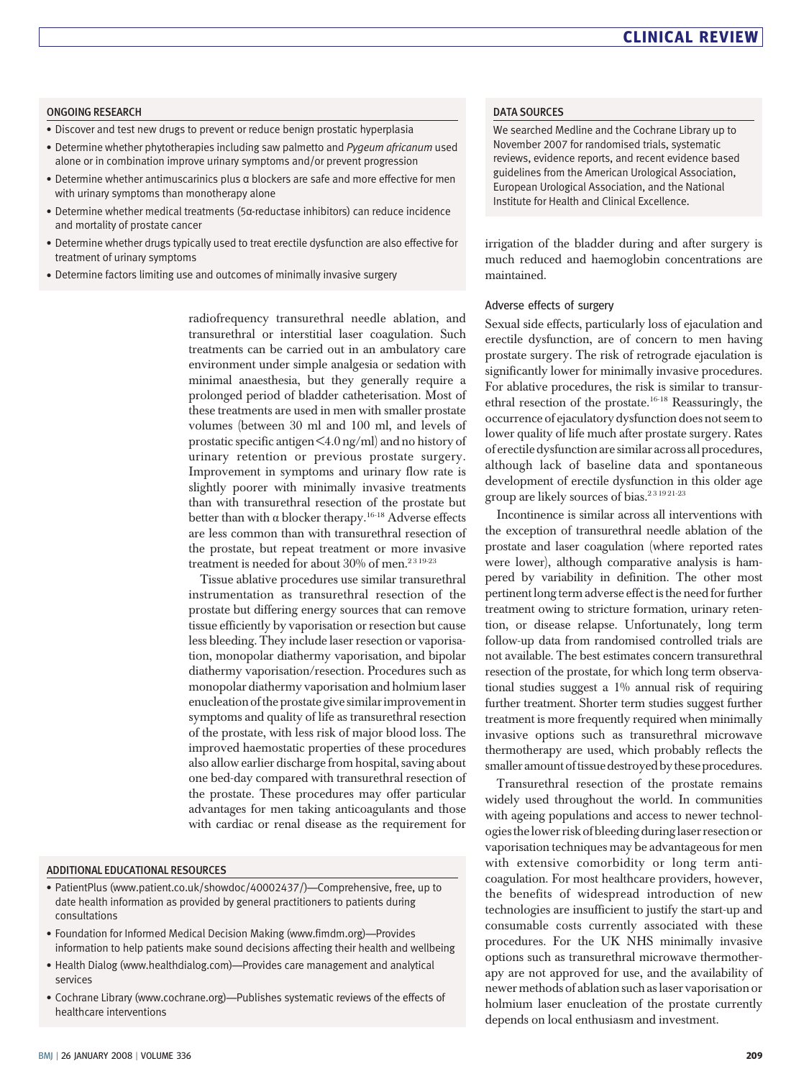#### ONGOING RESEARCH

- Discover and test new drugs to prevent or reduce benign prostatic hyperplasia
- Determine whether phytotherapies including saw palmetto and Pygeum africanum used alone or in combination improve urinary symptoms and/or prevent progression
- Determine whether antimuscarinics plus α blockers are safe and more effective for men with urinary symptoms than monotherapy alone
- Determine whether medical treatments (5α-reductase inhibitors) can reduce incidence and mortality of prostate cancer
- Determine whether drugs typically used to treat erectile dysfunction are also effective for treatment of urinary symptoms
- Determine factors limiting use and outcomes of minimally invasive surgery

radiofrequency transurethral needle ablation, and transurethral or interstitial laser coagulation. Such treatments can be carried out in an ambulatory care environment under simple analgesia or sedation with minimal anaesthesia, but they generally require a prolonged period of bladder catheterisation. Most of these treatments are used in men with smaller prostate volumes (between 30 ml and 100 ml, and levels of prostatic specific antigen <4.0 ng/ml) and no history of urinary retention or previous prostate surgery. Improvement in symptoms and urinary flow rate is slightly poorer with minimally invasive treatments than with transurethral resection of the prostate but better than with  $\alpha$  blocker therapy.<sup>16-18</sup> Adverse effects are less common than with transurethral resection of the prostate, but repeat treatment or more invasive treatment is needed for about 30% of men.<sup>23 19-23</sup>

Tissue ablative procedures use similar transurethral instrumentation as transurethral resection of the prostate but differing energy sources that can remove tissue efficiently by vaporisation or resection but cause less bleeding. They include laser resection or vaporisation, monopolar diathermy vaporisation, and bipolar diathermy vaporisation/resection. Procedures such as monopolar diathermy vaporisation and holmium laser enucleation of the prostate give similar improvement in symptoms and quality of life as transurethral resection of the prostate, with less risk of major blood loss. The improved haemostatic properties of these procedures also allow earlier discharge from hospital, saving about one bed-day compared with transurethral resection of the prostate. These procedures may offer particular advantages for men taking anticoagulants and those with cardiac or renal disease as the requirement for

#### ADDITIONAL EDUCATIONAL RESOURCES

- PatientPlus (www.patient.co.uk/showdoc/40002437/)—Comprehensive, free, up to date health information as provided by general practitioners to patients during consultations
- Foundation for Informed Medical Decision Making (www.fimdm.org)—Provides information to help patients make sound decisions affecting their health and wellbeing
- Health Dialog (www.healthdialog.com)—Provides care management and analytical services
- Cochrane Library (www.cochrane.org)—Publishes systematic reviews of the effects of healthcare interventions

#### DATA SOURCES

We searched Medline and the Cochrane Library up to November 2007 for randomised trials, systematic reviews, evidence reports, and recent evidence based guidelines from the American Urological Association, European Urological Association, and the National Institute for Health and Clinical Excellence.

irrigation of the bladder during and after surgery is much reduced and haemoglobin concentrations are maintained.

#### Adverse effects of surgery

Sexual side effects, particularly loss of ejaculation and erectile dysfunction, are of concern to men having prostate surgery. The risk of retrograde ejaculation is significantly lower for minimally invasive procedures. For ablative procedures, the risk is similar to transurethral resection of the prostate.<sup>16-18</sup> Reassuringly, the occurrence of ejaculatory dysfunction does not seem to lower quality of life much after prostate surgery. Rates of erectile dysfunction are similar across all procedures, although lack of baseline data and spontaneous development of erectile dysfunction in this older age group are likely sources of bias.<sup>231921-23</sup>

Incontinence is similar across all interventions with the exception of transurethral needle ablation of the prostate and laser coagulation (where reported rates were lower), although comparative analysis is hampered by variability in definition. The other most pertinent long term adverse effect is the need for further treatment owing to stricture formation, urinary retention, or disease relapse. Unfortunately, long term follow-up data from randomised controlled trials are not available. The best estimates concern transurethral resection of the prostate, for which long term observational studies suggest a 1% annual risk of requiring further treatment. Shorter term studies suggest further treatment is more frequently required when minimally invasive options such as transurethral microwave thermotherapy are used, which probably reflects the smaller amount of tissue destroyed by these procedures.

Transurethral resection of the prostate remains widely used throughout the world. In communities with ageing populations and access to newer technologiesthelower risk of bleeding duringlaser resection or vaporisation techniques may be advantageous for men with extensive comorbidity or long term anticoagulation. For most healthcare providers, however, the benefits of widespread introduction of new technologies are insufficient to justify the start-up and consumable costs currently associated with these procedures. For the UK NHS minimally invasive options such as transurethral microwave thermotherapy are not approved for use, and the availability of newer methods of ablation such as laser vaporisation or holmium laser enucleation of the prostate currently depends on local enthusiasm and investment.